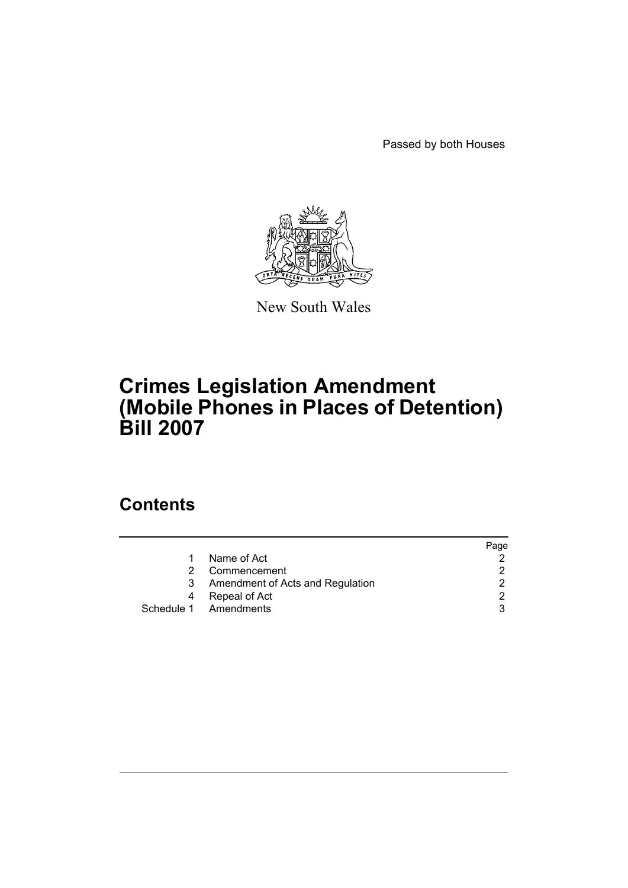Passed by both Houses



New South Wales

# **Crimes Legislation Amendment (Mobile Phones in Places of Detention) Bill 2007**

# **Contents**

|                                  | Page |
|----------------------------------|------|
| Name of Act                      |      |
| Commencement                     | 2    |
| Amendment of Acts and Regulation | 2    |
| Repeal of Act<br>4               | 2    |
| Schedule 1 Amendments            | 3    |
|                                  |      |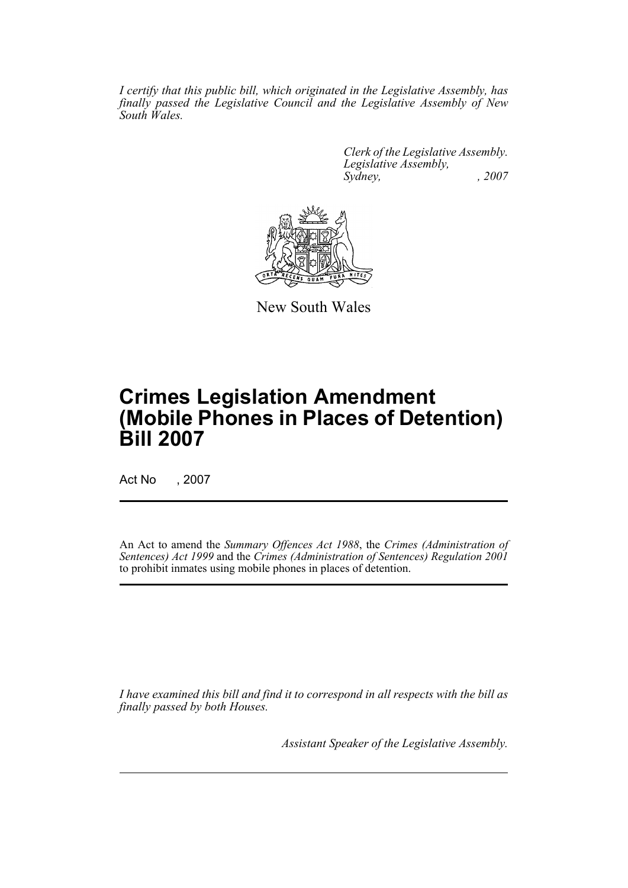*I certify that this public bill, which originated in the Legislative Assembly, has finally passed the Legislative Council and the Legislative Assembly of New South Wales.*

> *Clerk of the Legislative Assembly. Legislative Assembly, Sydney, , 2007*



New South Wales

# **Crimes Legislation Amendment (Mobile Phones in Places of Detention) Bill 2007**

Act No , 2007

An Act to amend the *Summary Offences Act 1988*, the *Crimes (Administration of Sentences) Act 1999* and the *Crimes (Administration of Sentences) Regulation 2001* to prohibit inmates using mobile phones in places of detention.

*I have examined this bill and find it to correspond in all respects with the bill as finally passed by both Houses.*

*Assistant Speaker of the Legislative Assembly.*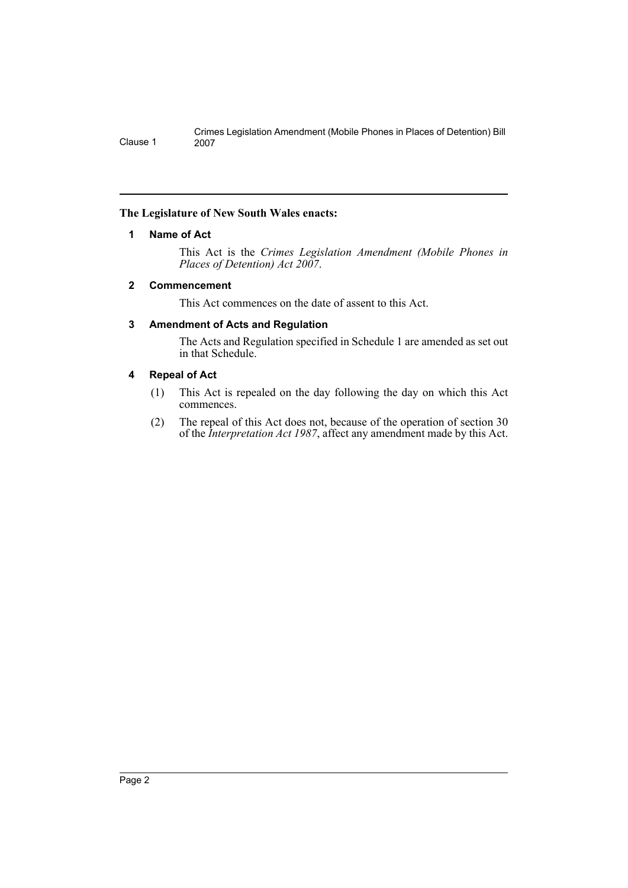Crimes Legislation Amendment (Mobile Phones in Places of Detention) Bill Clause 1

### <span id="page-2-0"></span>**The Legislature of New South Wales enacts:**

### **1 Name of Act**

This Act is the *Crimes Legislation Amendment (Mobile Phones in Places of Detention) Act 2007*.

### <span id="page-2-1"></span>**2 Commencement**

This Act commences on the date of assent to this Act.

### <span id="page-2-2"></span>**3 Amendment of Acts and Regulation**

The Acts and Regulation specified in Schedule 1 are amended as set out in that Schedule.

### <span id="page-2-3"></span>**4 Repeal of Act**

- (1) This Act is repealed on the day following the day on which this Act commences.
- (2) The repeal of this Act does not, because of the operation of section 30 of the *Interpretation Act 1987*, affect any amendment made by this Act.